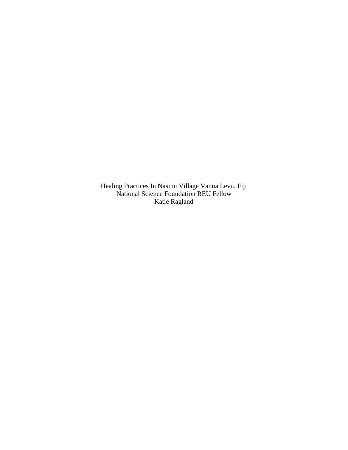Healing Practices In Nasinu Village Vanua Levu, Fiji National Science Foundation REU Fellow Katie Ragland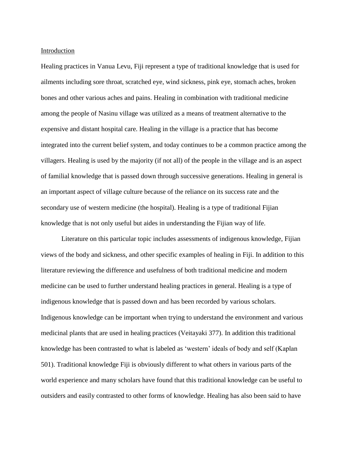#### Introduction

Healing practices in Vanua Levu, Fiji represent a type of traditional knowledge that is used for ailments including sore throat, scratched eye, wind sickness, pink eye, stomach aches, broken bones and other various aches and pains. Healing in combination with traditional medicine among the people of Nasinu village was utilized as a means of treatment alternative to the expensive and distant hospital care. Healing in the village is a practice that has become integrated into the current belief system, and today continues to be a common practice among the villagers. Healing is used by the majority (if not all) of the people in the village and is an aspect of familial knowledge that is passed down through successive generations. Healing in general is an important aspect of village culture because of the reliance on its success rate and the secondary use of western medicine (the hospital). Healing is a type of traditional Fijian knowledge that is not only useful but aides in understanding the Fijian way of life.

Literature on this particular topic includes assessments of indigenous knowledge, Fijian views of the body and sickness, and other specific examples of healing in Fiji. In addition to this literature reviewing the difference and usefulness of both traditional medicine and modern medicine can be used to further understand healing practices in general. Healing is a type of indigenous knowledge that is passed down and has been recorded by various scholars. Indigenous knowledge can be important when trying to understand the environment and various medicinal plants that are used in healing practices (Veitayaki 377). In addition this traditional knowledge has been contrasted to what is labeled as 'western' ideals of body and self (Kaplan 501). Traditional knowledge Fiji is obviously different to what others in various parts of the world experience and many scholars have found that this traditional knowledge can be useful to outsiders and easily contrasted to other forms of knowledge. Healing has also been said to have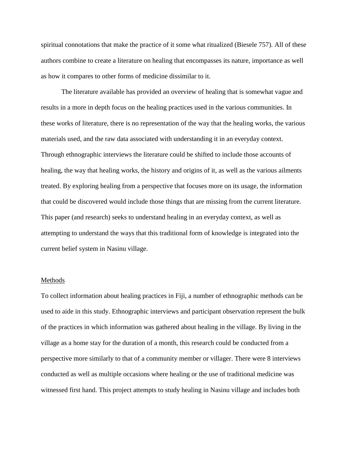spiritual connotations that make the practice of it some what ritualized (Biesele 757). All of these authors combine to create a literature on healing that encompasses its nature, importance as well as how it compares to other forms of medicine dissimilar to it.

The literature available has provided an overview of healing that is somewhat vague and results in a more in depth focus on the healing practices used in the various communities. In these works of literature, there is no representation of the way that the healing works, the various materials used, and the raw data associated with understanding it in an everyday context. Through ethnographic interviews the literature could be shifted to include those accounts of healing, the way that healing works, the history and origins of it, as well as the various ailments treated. By exploring healing from a perspective that focuses more on its usage, the information that could be discovered would include those things that are missing from the current literature. This paper (and research) seeks to understand healing in an everyday context, as well as attempting to understand the ways that this traditional form of knowledge is integrated into the current belief system in Nasinu village.

#### Methods

To collect information about healing practices in Fiji, a number of ethnographic methods can be used to aide in this study. Ethnographic interviews and participant observation represent the bulk of the practices in which information was gathered about healing in the village. By living in the village as a home stay for the duration of a month, this research could be conducted from a perspective more similarly to that of a community member or villager. There were 8 interviews conducted as well as multiple occasions where healing or the use of traditional medicine was witnessed first hand. This project attempts to study healing in Nasinu village and includes both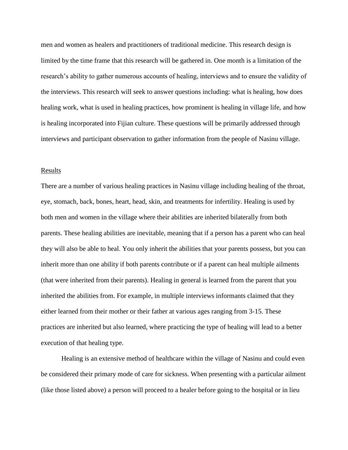men and women as healers and practitioners of traditional medicine. This research design is limited by the time frame that this research will be gathered in. One month is a limitation of the research's ability to gather numerous accounts of healing, interviews and to ensure the validity of the interviews. This research will seek to answer questions including: what is healing, how does healing work, what is used in healing practices, how prominent is healing in village life, and how is healing incorporated into Fijian culture. These questions will be primarily addressed through interviews and participant observation to gather information from the people of Nasinu village.

### Results

There are a number of various healing practices in Nasinu village including healing of the throat, eye, stomach, back, bones, heart, head, skin, and treatments for infertility. Healing is used by both men and women in the village where their abilities are inherited bilaterally from both parents. These healing abilities are inevitable, meaning that if a person has a parent who can heal they will also be able to heal. You only inherit the abilities that your parents possess, but you can inherit more than one ability if both parents contribute or if a parent can heal multiple ailments (that were inherited from their parents). Healing in general is learned from the parent that you inherited the abilities from. For example, in multiple interviews informants claimed that they either learned from their mother or their father at various ages ranging from 3-15. These practices are inherited but also learned, where practicing the type of healing will lead to a better execution of that healing type.

Healing is an extensive method of healthcare within the village of Nasinu and could even be considered their primary mode of care for sickness. When presenting with a particular ailment (like those listed above) a person will proceed to a healer before going to the hospital or in lieu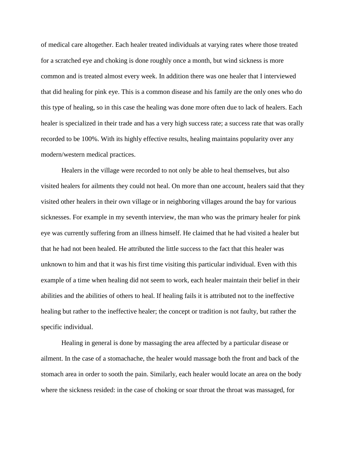of medical care altogether. Each healer treated individuals at varying rates where those treated for a scratched eye and choking is done roughly once a month, but wind sickness is more common and is treated almost every week. In addition there was one healer that I interviewed that did healing for pink eye. This is a common disease and his family are the only ones who do this type of healing, so in this case the healing was done more often due to lack of healers. Each healer is specialized in their trade and has a very high success rate; a success rate that was orally recorded to be 100%. With its highly effective results, healing maintains popularity over any modern/western medical practices.

Healers in the village were recorded to not only be able to heal themselves, but also visited healers for ailments they could not heal. On more than one account, healers said that they visited other healers in their own village or in neighboring villages around the bay for various sicknesses. For example in my seventh interview, the man who was the primary healer for pink eye was currently suffering from an illness himself. He claimed that he had visited a healer but that he had not been healed. He attributed the little success to the fact that this healer was unknown to him and that it was his first time visiting this particular individual. Even with this example of a time when healing did not seem to work, each healer maintain their belief in their abilities and the abilities of others to heal. If healing fails it is attributed not to the ineffective healing but rather to the ineffective healer; the concept or tradition is not faulty, but rather the specific individual.

Healing in general is done by massaging the area affected by a particular disease or ailment. In the case of a stomachache, the healer would massage both the front and back of the stomach area in order to sooth the pain. Similarly, each healer would locate an area on the body where the sickness resided: in the case of choking or soar throat the throat was massaged, for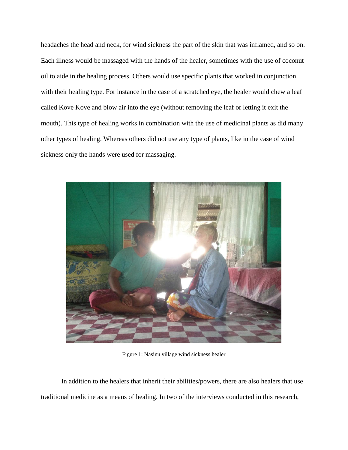headaches the head and neck, for wind sickness the part of the skin that was inflamed, and so on. Each illness would be massaged with the hands of the healer, sometimes with the use of coconut oil to aide in the healing process. Others would use specific plants that worked in conjunction with their healing type. For instance in the case of a scratched eye, the healer would chew a leaf called Kove Kove and blow air into the eye (without removing the leaf or letting it exit the mouth). This type of healing works in combination with the use of medicinal plants as did many other types of healing. Whereas others did not use any type of plants, like in the case of wind sickness only the hands were used for massaging.



Figure 1: Nasinu village wind sickness healer

In addition to the healers that inherit their abilities/powers, there are also healers that use traditional medicine as a means of healing. In two of the interviews conducted in this research,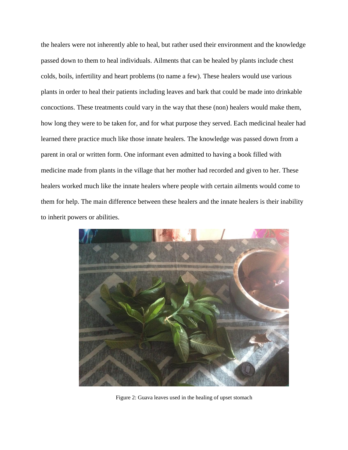the healers were not inherently able to heal, but rather used their environment and the knowledge passed down to them to heal individuals. Ailments that can be healed by plants include chest colds, boils, infertility and heart problems (to name a few). These healers would use various plants in order to heal their patients including leaves and bark that could be made into drinkable concoctions. These treatments could vary in the way that these (non) healers would make them, how long they were to be taken for, and for what purpose they served. Each medicinal healer had learned there practice much like those innate healers. The knowledge was passed down from a parent in oral or written form. One informant even admitted to having a book filled with medicine made from plants in the village that her mother had recorded and given to her. These healers worked much like the innate healers where people with certain ailments would come to them for help. The main difference between these healers and the innate healers is their inability to inherit powers or abilities.



Figure 2: Guava leaves used in the healing of upset stomach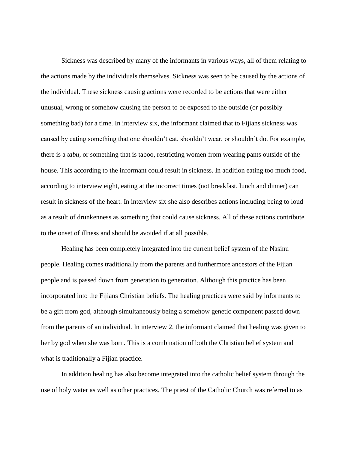Sickness was described by many of the informants in various ways, all of them relating to the actions made by the individuals themselves. Sickness was seen to be caused by the actions of the individual. These sickness causing actions were recorded to be actions that were either unusual, wrong or somehow causing the person to be exposed to the outside (or possibly something bad) for a time. In interview six, the informant claimed that to Fijians sickness was caused by eating something that one shouldn't eat, shouldn't wear, or shouldn't do. For example, there is a *tabu*, or something that is taboo, restricting women from wearing pants outside of the house. This according to the informant could result in sickness. In addition eating too much food, according to interview eight, eating at the incorrect times (not breakfast, lunch and dinner) can result in sickness of the heart. In interview six she also describes actions including being to loud as a result of drunkenness as something that could cause sickness. All of these actions contribute to the onset of illness and should be avoided if at all possible.

Healing has been completely integrated into the current belief system of the Nasinu people. Healing comes traditionally from the parents and furthermore ancestors of the Fijian people and is passed down from generation to generation. Although this practice has been incorporated into the Fijians Christian beliefs. The healing practices were said by informants to be a gift from god, although simultaneously being a somehow genetic component passed down from the parents of an individual. In interview 2, the informant claimed that healing was given to her by god when she was born. This is a combination of both the Christian belief system and what is traditionally a Fijian practice.

In addition healing has also become integrated into the catholic belief system through the use of holy water as well as other practices. The priest of the Catholic Church was referred to as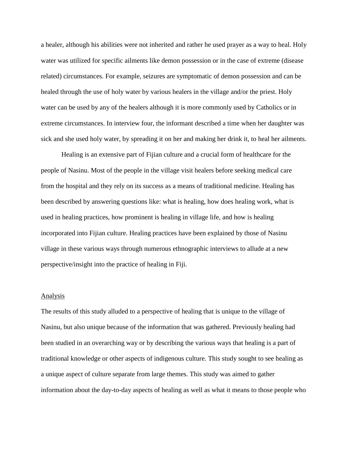a healer, although his abilities were not inherited and rather he used prayer as a way to heal. Holy water was utilized for specific ailments like demon possession or in the case of extreme (disease related) circumstances. For example, seizures are symptomatic of demon possession and can be healed through the use of holy water by various healers in the village and/or the priest. Holy water can be used by any of the healers although it is more commonly used by Catholics or in extreme circumstances. In interview four, the informant described a time when her daughter was sick and she used holy water, by spreading it on her and making her drink it, to heal her ailments.

Healing is an extensive part of Fijian culture and a crucial form of healthcare for the people of Nasinu. Most of the people in the village visit healers before seeking medical care from the hospital and they rely on its success as a means of traditional medicine. Healing has been described by answering questions like: what is healing, how does healing work, what is used in healing practices, how prominent is healing in village life, and how is healing incorporated into Fijian culture. Healing practices have been explained by those of Nasinu village in these various ways through numerous ethnographic interviews to allude at a new perspective/insight into the practice of healing in Fiji.

#### Analysis

The results of this study alluded to a perspective of healing that is unique to the village of Nasinu, but also unique because of the information that was gathered. Previously healing had been studied in an overarching way or by describing the various ways that healing is a part of traditional knowledge or other aspects of indigenous culture. This study sought to see healing as a unique aspect of culture separate from large themes. This study was aimed to gather information about the day-to-day aspects of healing as well as what it means to those people who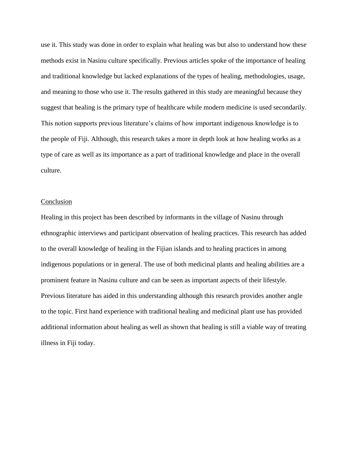use it. This study was done in order to explain what healing was but also to understand how these methods exist in Nasinu culture specifically. Previous articles spoke of the importance of healing and traditional knowledge but lacked explanations of the types of healing, methodologies, usage, and meaning to those who use it. The results gathered in this study are meaningful because they suggest that healing is the primary type of healthcare while modern medicine is used secondarily. This notion supports previous literature's claims of how important indigenous knowledge is to the people of Fiji. Although, this research takes a more in depth look at how healing works as a type of care as well as its importance as a part of traditional knowledge and place in the overall culture.

### Conclusion

Healing in this project has been described by informants in the village of Nasinu through ethnographic interviews and participant observation of healing practices. This research has added to the overall knowledge of healing in the Fijian islands and to healing practices in among indigenous populations or in general. The use of both medicinal plants and healing abilities are a prominent feature in Nasinu culture and can be seen as important aspects of their lifestyle. Previous literature has aided in this understanding although this research provides another angle to the topic. First hand experience with traditional healing and medicinal plant use has provided additional information about healing as well as shown that healing is still a viable way of treating illness in Fiji today.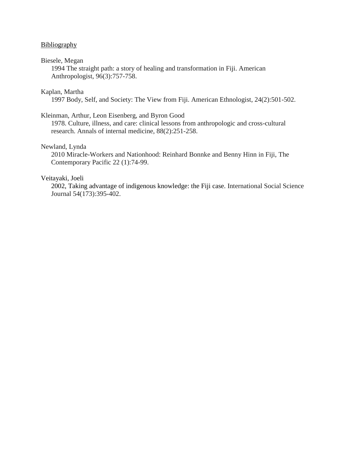# **Bibliography**

### Biesele, Megan

1994 The straight path: a story of healing and transformation in Fiji. American Anthropologist, 96(3):757-758.

# Kaplan, Martha

1997 Body, Self, and Society: The View from Fiji. American Ethnologist, 24(2):501-502.

# Kleinman, Arthur, Leon Eisenberg, and Byron Good

1978. Culture, illness, and care: clinical lessons from anthropologic and cross-cultural research. Annals of internal medicine, 88(2):251-258.

# Newland, Lynda

2010 Miracle-Workers and Nationhood: Reinhard Bonnke and Benny Hinn in Fiji, The Contemporary Pacific 22 (1):74-99.

# Veitayaki, Joeli

2002, Taking advantage of indigenous knowledge: the Fiji case. International Social Science Journal 54(173):395-402.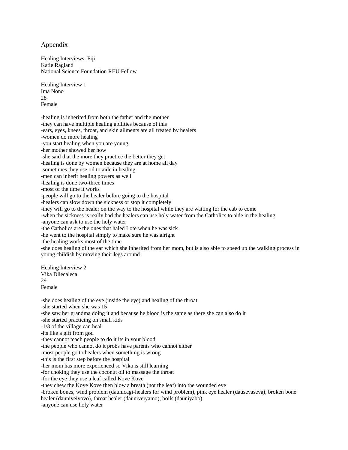### Appendix

Healing Interviews: Fiji Katie Ragland National Science Foundation REU Fellow

Healing Interview 1 Ima Nono 28 Female

-healing is inherited from both the father and the mother -they can have multiple healing abilities because of this -ears, eyes, knees, throat, and skin ailments are all treated by healers -women do more healing -you start healing when you are young -her mother showed her how -she said that the more they practice the better they get -healing is done by women because they are at home all day -sometimes they use oil to aide in healing -men can inherit healing powers as well -healing is done two-three times -most of the time it works -people will go to the healer before going to the hospital -healers can slow down the sickness or stop it completely -they will go to the healer on the way to the hospital while they are waiting for the cab to come -when the sickness is really bad the healers can use holy water from the Catholics to aide in the healing -anyone can ask to use the holy water -the Catholics are the ones that haled Lote when he was sick -he went to the hospital simply to make sure he was alright -the healing works most of the time -she does healing of the ear which she inherited from her mom, but is also able to speed up the walking process in young childish by moving their legs around Healing Interview 2 Vika Dilecaleca 29 Female

-she does healing of the eye (inside the eye) and healing of the throat -she started when she was 15 -she saw her grandma doing it and because he blood is the same as there she can also do it -she started practicing on small kids -1/3 of the village can heal -its like a gift from god -they cannot teach people to do it its in your blood -the people who cannot do it probs have parents who cannot either -most people go to healers when something is wrong -this is the first step before the hospital -her mom has more experienced so Vika is still learning -for choking they use the coconut oil to massage the throat -for the eye they use a leaf called Kove Kove -they chew the Kove Kove then blow a breath (not the leaf) into the wounded eye -broken bones, wind problem (daunicagi-healers for wind problem), pink eye healer (dausevaseva), broken bone healer (dauniveivovo), throat healer (dauniveiyamo), boils (dauniyabo). -anyone can use holy water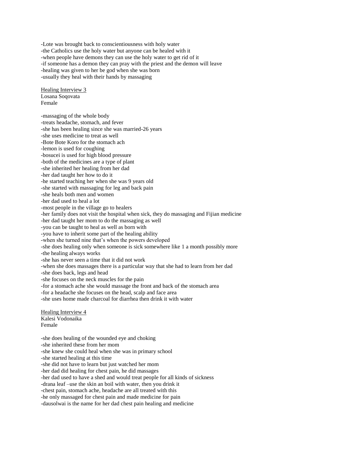-Lote was brought back to conscientiousness with holy water -the Catholics use the holy water but anyone can be healed with it -when people have demons they can use the holy water to get rid of it -if someone has a demon they can pray with the priest and the demon will leave -healing was given to her be god when she was born -usually they heal with their hands by massaging

Healing Interview 3 Losana Soqovata Female

-massaging of the whole body -treats headache, stomach, and fever -she has been healing since she was married-26 years -she uses medicine to treat as well -Bote Bote Koro for the stomach ach -lemon is used for coughing -bosucei is used for high blood pressure -both of the medicines are a type of plant -she inherited her healing from her dad -her dad taught her how to do it -he started teaching her when she was 9 years old -she started with massaging for leg and back pain -she heals both men and women -her dad used to heal a lot -most people in the village go to healers -her family does not visit the hospital when sick, they do massaging and Fijian medicine -her dad taught her mom to do the massaging as well -you can be taught to heal as well as born with -you have to inherit some part of the healing ability -when she turned nine that's when the powers developed -she does healing only when someone is sick somewhere like 1 a month possibly more -the healing always works -she has never seen a time that it did not work -when she does massages there is a particular way that she had to learn from her dad -she does back, legs and head -she focuses on the neck muscles for the pain -for a stomach ache she would massage the front and back of the stomach area -for a headache she focuses on the head, scalp and face area -she uses home made charcoal for diarrhea then drink it with water Healing Interview 4 Kalesi Vodonaika Female -she does healing of the wounded eye and choking -she inherited these from her mom

-she knew she could heal when she was in primary school -she started healing at this time -she did not have to learn but just watched her mom -her dad did healing for chest pain, he did massages -her dad used to have a shed and would treat people for all kinds of sickness -drana leaf –use the skin an boil with water, then you drink it -chest pain, stomach ache, headache are all treated with this -he only massaged for chest pain and made medicine for pain -dausolwai is the name for her dad chest pain healing and medicine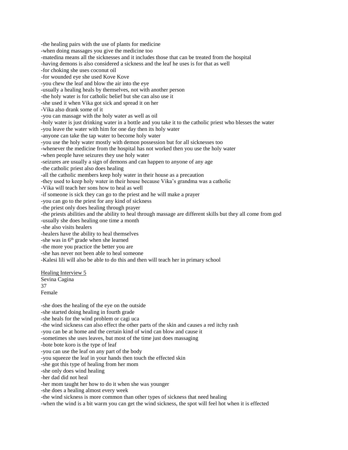-the healing pairs with the use of plants for medicine -when doing massages you give the medicine too -matedina means all the sicknesses and it includes those that can be treated from the hospital -having demons is also considered a sickness and the leaf he uses is for that as well -for choking she uses coconut oil -for wounded eye she used Kove Kove -you chew the leaf and blow the air into the eye -usually a healing heals by themselves, not with another person -the holy water is for catholic belief but she can also use it -she used it when Vika got sick and spread it on her -Vika also drank some of it -you can massage with the holy water as well as oil -holy water is just drinking water in a bottle and you take it to the catholic priest who blesses the water -you leave the water with him for one day then its holy water -anyone can take the tap water to become holy water -you use the holy water mostly with demon possession but for all sicknesses too -whenever the medicine from the hospital has not worked then you use the holy water -when people have seizures they use holy water -seizures are usually a sign of demons and can happen to anyone of any age -the catholic priest also does healing -all the catholic members keep holy water in their house as a precaution -they used to keep holy water in their house because Vika's grandma was a catholic -Vika will teach her sons how to heal as well -if someone is sick they can go to the priest and he will make a prayer -you can go to the priest for any kind of sickness -the priest only does healing through prayer -the priests abilities and the ability to heal through massage are different skills but they all come from god -usually she does healing one time a month -she also visits healers -healers have the ability to heal themselves -she was in 6<sup>th</sup> grade when she learned -the more you practice the better you are -she has never not been able to heal someone -Kalesi lili will also be able to do this and then will teach her in primary school Healing Interview 5 Sevina Cagina 37 Female -she does the healing of the eye on the outside -she started doing healing in fourth grade

-she heals for the wind problem or cagi uca -the wind sickness can also effect the other parts of the skin and causes a red itchy rash -you can be at home and the certain kind of wind can blow and cause it -sometimes she uses leaves, but most of the time just does massaging -bote bote koro is the type of leaf -you can use the leaf on any part of the body -you squeeze the leaf in your hands then touch the effected skin -she got this type of healing from her mom -she only does wind healing

-her dad did not heal

-her mom taught her how to do it when she was younger

-she does a healing almost every week

-the wind sickness is more common than other types of sickness that need healing

-when the wind is a bit warm you can get the wind sickness, the spot will feel hot when it is effected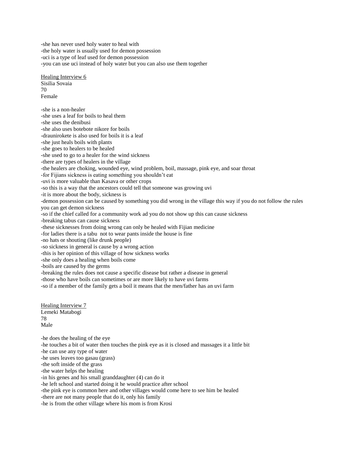-she has never used holy water to heal with -the holy water is usually used for demon possession -uci is a type of leaf used for demon possession -you can use uci instead of holy water but you can also use them together

Healing Interview 6 Sisilia Sovaia  $70$ Female

-she is a non-healer -she uses a leaf for boils to heal them -she uses the denibusi -she also uses botebote nikore for boils -draunirokete is also used for boils it is a leaf -she just heals boils with plants -she goes to healers to be healed -she used to go to a healer for the wind sickness -there are types of healers in the village -the healers are choking, wounded eye, wind problem, boil, massage, pink eye, and soar throat -for Fijians sickness is eating something you shouldn't eat -uvi is more valuable than Kasava or other crops -so this is a way that the ancestors could tell that someone was growing uvi -it is more about the body, sickness is -demon possession can be caused by something you did wrong in the village this way if you do not follow the rules you can get demon sickness -so if the chief called for a community work ad you do not show up this can cause sickness -breaking tabus can cause sickness -these sicknesses from doing wrong can only be healed with Fijian medicine -for ladies there is a tabu not to wear pants inside the house is fine -no hats or shouting (like drunk people) -so sickness in general is cause by a wrong action -this is her opinion of this village of how sickness works -she only does a healing when boils come -boils are caused by the germs -breaking the rules does not cause a specific disease but rather a disease in general

-those who have boils can sometimes or are more likely to have uvi farms

-so if a member of the family gets a boil it means that the men/father has an uvi farm

Healing Interview 7 Lemeki Matabogi 78 Male

-he does the healing of the eye -he touches a bit of water then touches the pink eye as it is closed and massages it a little bit -he can use any type of water -he uses leaves too gasau (grass) -the soft inside of the grass -the water helps the healing -in his genes and his small granddaughter (4) can do it -he left school and started doing it he would practice after school -the pink eye is common here and other villages would come here to see him be healed -there are not many people that do it, only his family

-he is from the other village where his mom is from Krosi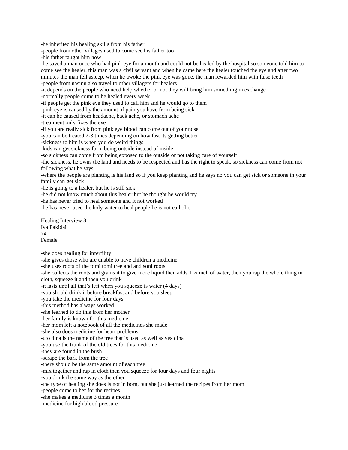-he inherited his healing skills from his father

-people from other villages used to come see his father too

-his father taught him how

-he saved a man once who had pink eye for a month and could not be healed by the hospital so someone told him to come see the healer, this man was a civil servant and when he came here the healer touched the eye and after two minutes the man fell asleep, when he awoke the pink eye was gone, the man rewarded him with false teeth -people from nasinu also travel to other villagers for healers

-it depends on the people who need help whether or not they will bring him something in exchange

-normally people come to be healed every week

-if people get the pink eye they used to call him and he would go to them

-pink eye is caused by the amount of pain you have from being sick

-it can be caused from headache, back ache, or stomach ache

-treatment only fixes the eye

-if you are really sick from pink eye blood can come out of your nose

-you can be treated 2-3 times depending on how fast its getting better

-sickness to him is when you do weird things

-kids can get sickness form being outside instead of inside

-so sickness can come from being exposed to the outside or not taking care of yourself

-the sickness, he owns the land and needs to be respected and has the right to speak, so sickness can come from not following what he says

-where the people are planting is his land so if you keep planting and he says no you can get sick or someone in your family can get sick

-he is going to a healer, but he is still sick

-he did not know much about this healer but he thought he would try

-he has never tried to heal someone and It not worked

-he has never used the holy water to heal people he is not catholic

Healing Interview 8 Iva Pakidai 74 Female

-she does healing for infertility

-she gives those who are unable to have children a medicine

-she uses roots of the tomi tomi tree and and soni roots

-she collects the roots and grains it to give more liquid then adds  $1 \frac{1}{2}$  inch of water, then you rap the whole thing in cloth, squeeze it and then you drink

-it lasts until all that's left when you squeeze is water (4 days)

-you should drink it before breakfast and before you sleep

-you take the medicine for four days

-this method has always worked

-she learned to do this from her mother

-her family is known for this medicine

-her mom left a notebook of all the medicines she made

-she also does medicine for heart problems

-uto dina is the name of the tree that is used as well as vesidina

-you use the trunk of the old trees for this medicine

-they are found in the bush

-scrape the bark from the tree

-there should be the same amount of each tree

-mix together and rap in cloth then you squeeze for four days and four nights

-you drink the same way as the other

-the type of healing she does is not in born, but she just learned the recipes from her mom

-people come to her for the recipes

-she makes a medicine 3 times a month

-medicine for high blood pressure